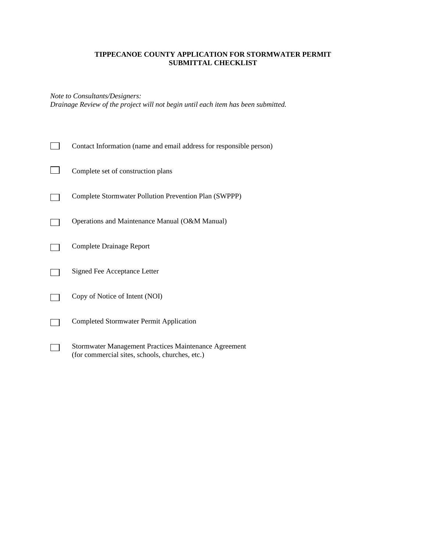#### **TIPPECANOE COUNTY APPLICATION FOR STORMWATER PERMIT SUBMITTAL CHECKLIST**

*Note to Consultants/Designers: Drainage Review of the project will not begin until each item has been submitted.*

| Contact Information (name and email address for responsible person)                                      |
|----------------------------------------------------------------------------------------------------------|
| Complete set of construction plans                                                                       |
| Complete Stormwater Pollution Prevention Plan (SWPPP)                                                    |
| Operations and Maintenance Manual (O&M Manual)                                                           |
| Complete Drainage Report                                                                                 |
| Signed Fee Acceptance Letter                                                                             |
| Copy of Notice of Intent (NOI)                                                                           |
| <b>Completed Stormwater Permit Application</b>                                                           |
| Stormwater Management Practices Maintenance Agreement<br>(for commercial sites, schools, churches, etc.) |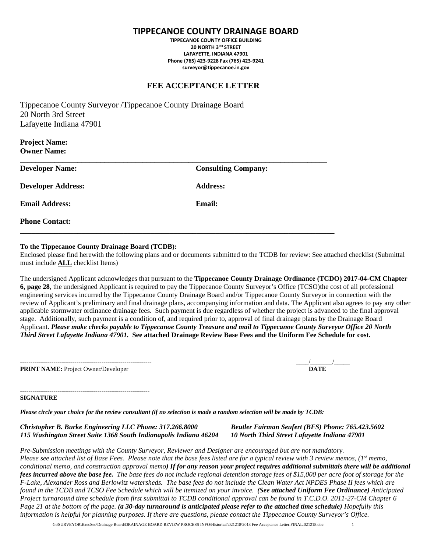## **TIPPECANOE COUNTY DRAINAGE BOARD**

**TIPPECANOE COUNTY OFFICE BUILDING 20 NORTH 3RD STREET LAFAYETTE, INDIANA 47901 Phone (765) 423-9228 Fax (765) 423-9241 surveyor@tippecanoe.in.gov**

### **FEE ACCEPTANCE LETTER**

Tippecanoe County Surveyor /Tippecanoe County Drainage Board 20 North 3rd Street Lafayette Indiana 47901

**Project Name: Owner Name:**

| <b>Developer Name:</b>    | <b>Consulting Company:</b> |
|---------------------------|----------------------------|
| <b>Developer Address:</b> | <b>Address:</b>            |
| <b>Email Address:</b>     | Email:                     |
| <b>Phone Contact:</b>     |                            |

#### **To the Tippecanoe County Drainage Board (TCDB):**

Enclosed please find herewith the following plans and or documents submitted to the TCDB for review: See attached checklist (Submittal must include **ALL** checklist Items)

The undersigned Applicant acknowledges that pursuant to the **Tippecanoe County Drainage Ordinance (TCDO) 2017-04-CM Chapter 6, page 28**, the undersigned Applicant is required to pay the Tippecanoe County Surveyor's Office (TCSO)the cost of all professional engineering services incurred by the Tippecanoe County Drainage Board and/or Tippecanoe County Surveyor in connection with the review of Applicant's preliminary and final drainage plans, accompanying information and data. The Applicant also agrees to pay any other applicable stormwater ordinance drainage fees. Such payment is due regardless of whether the project is advanced to the final approval stage. Additionally, such payment is a condition of, and required prior to, approval of final drainage plans by the Drainage Board Applicant. *Please make checks payable to Tippecanoe County Treasure and mail to Tippecanoe County Surveyor Office 20 North Third Street Lafayette Indiana 47901.* **See attached Drainage Review Base Fees and the Uniform Fee Schedule for cost.**

**PRINT NAME:** Project Owner/Developer **DATE** 

--------------------------------------------------------------- \_\_\_\_/\_\_\_\_\_\_\_/\_\_\_\_\_

#### -------------------------------------------------------------- **SIGNATURE**

*Please circle your choice for the review consultant (if no selection is made a random selection will be made by TCDB:*

*Christopher B. Burke Engineering LLC Phone: 317.266.8000 Beutler Fairman Seufert (BFS) Phone: 765.423.5602 115 Washington Street Suite 1368 South Indianapolis Indiana 46204 10 North Third Street Lafayette Indiana 47901*

*Pre-Submission meetings with the County Surveyor, Reviewer and Designer are encouraged but are not mandatory. Please see attached list of Base Fees. Please note that the base fees listed are for a typical review with 3 review memos, (1st memo, conditional memo, and construction approval memo) If for any reason your project requires additional submittals there will be additional fees incurred above the base fee. The base fees do not include regional detention storage fees of \$15,000 per acre foot of storage for the F-Lake, Alexander Ross and Berlowitz watersheds. The base fees do not include the Clean Water Act NPDES Phase II fees which are found in the TCDB and TCSO Fee Schedule which will be itemized on your invoice. (See attached Uniform Fee Ordinance) Anticipated Project turnaround time schedule from first submittal to TCDB conditional approval can be found in T.C.D.O. 2011-27-CM Chapter 6 Page 21 at the bottom of the page. (a 30-day turnaround is anticipated please refer to the attached time schedule) Hopefully this information is helpful for planning purposes. If there are questions, please contact the Tippecanoe County Surveyor's Office.*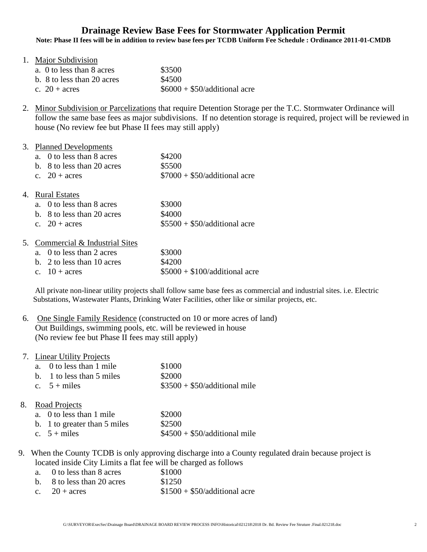# **Drainage Review Base Fees for Stormwater Application Permit**

**Note: Phase II fees will be in addition to review base fees per TCDB Uniform Fee Schedule : Ordinance 2011-01-CMDB**

| 1. Major Subdivision       |                                |
|----------------------------|--------------------------------|
| a. 0 to less than 8 acres  | \$3500                         |
| b. 8 to less than 20 acres | \$4500                         |
| c. $20 + \text{acres}$     | $$6000 + $50$ /additional acre |

2. Minor Subdivision or Parcelizations that require Detention Storage per the T.C. Stormwater Ordinance will follow the same base fees as major subdivisions. If no detention storage is required, project will be reviewed in house (No review fee but Phase II fees may still apply)

#### 3. Planned Developments

| a. 0 to less than 8 acres  | \$4200                         |
|----------------------------|--------------------------------|
| b. 8 to less than 20 acres | \$5500                         |
| c. $20 + \text{acres}$     | $$7000 + $50$ /additional acre |

#### 4. Rural Estates

| a. 0 to less than 8 acres  | \$3000                         |
|----------------------------|--------------------------------|
| b. 8 to less than 20 acres | \$4000                         |
| c. $20 + \text{acres}$     | $$5500 + $50$ /additional acre |

### 5. Commercial & Industrial Sites

| a. 0 to less than 2 acres  | \$3000                          |
|----------------------------|---------------------------------|
| b. 2 to less than 10 acres | \$4200                          |
| c. $10 + \text{acres}$     | $$5000 + $100$ /additional acre |

All private non-linear utility projects shall follow same base fees as commercial and industrial sites. i.e. Electric Substations, Wastewater Plants, Drinking Water Facilities, other like or similar projects, etc.

# 6. One Single Family Residence (constructed on 10 or more acres of land) Out Buildings, swimming pools, etc. will be reviewed in house (No review fee but Phase II fees may still apply)

| 7. Linear Utility Projects         |                                |  |  |
|------------------------------------|--------------------------------|--|--|
| a. 0 to less than 1 mile           | \$1000                         |  |  |
| b. 1 to less than 5 miles          | \$2000                         |  |  |
| c. $5 + miles$                     | $$3500 + $50$ /additional mile |  |  |
| Road Projects<br>8.                |                                |  |  |
| $\sim 0.4$ a Jagos Alegar 1. an Ja | രവറവ                           |  |  |

| a. 0 to less than 1 mile     | \$2000                         |
|------------------------------|--------------------------------|
| b. 1 to greater than 5 miles | \$2500                         |
| c. $5 + miles$               | $$4500 + $50$ /additional mile |

 9. When the County TCDB is only approving discharge into a County regulated drain because project is located inside City Limits a flat fee will be charged as follows

| a. 0 to less than 8 acres    | \$1000                         |
|------------------------------|--------------------------------|
| b. $8$ to less than 20 acres | \$1250                         |
| c. $20 + \text{acres}$       | $$1500 + $50$ /additional acre |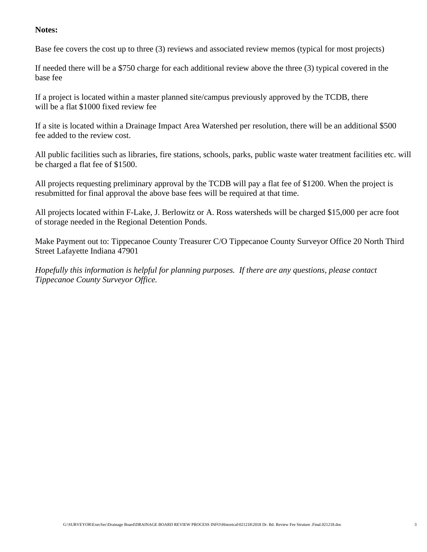## **Notes:**

Base fee covers the cost up to three (3) reviews and associated review memos (typical for most projects)

If needed there will be a \$750 charge for each additional review above the three (3) typical covered in the base fee

If a project is located within a master planned site/campus previously approved by the TCDB, there will be a flat \$1000 fixed review fee

If a site is located within a Drainage Impact Area Watershed per resolution, there will be an additional \$500 fee added to the review cost.

All public facilities such as libraries, fire stations, schools, parks, public waste water treatment facilities etc. will be charged a flat fee of \$1500.

All projects requesting preliminary approval by the TCDB will pay a flat fee of \$1200. When the project is resubmitted for final approval the above base fees will be required at that time.

All projects located within F-Lake, J. Berlowitz or A. Ross watersheds will be charged \$15,000 per acre foot of storage needed in the Regional Detention Ponds.

Make Payment out to: Tippecanoe County Treasurer C/O Tippecanoe County Surveyor Office 20 North Third Street Lafayette Indiana 47901

*Hopefully this information is helpful for planning purposes. If there are any questions, please contact Tippecanoe County Surveyor Office.*